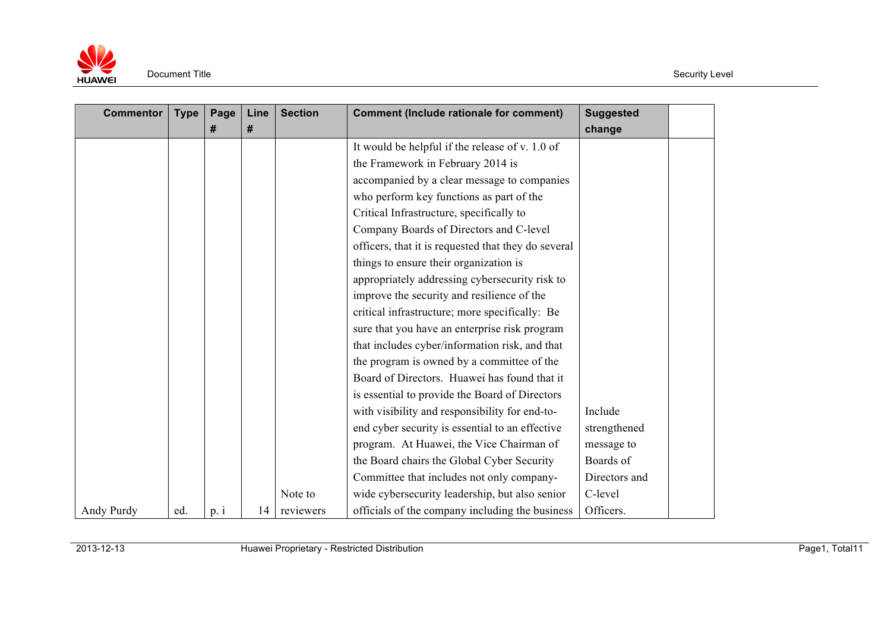

| <b>Commentor</b> | <b>Type</b> | Page | Line | <b>Section</b> | <b>Comment (Include rationale for comment)</b>      | <b>Suggested</b> |  |
|------------------|-------------|------|------|----------------|-----------------------------------------------------|------------------|--|
|                  |             | #    | #    |                |                                                     | change           |  |
|                  |             |      |      |                | It would be helpful if the release of v. 1.0 of     |                  |  |
|                  |             |      |      |                | the Framework in February 2014 is                   |                  |  |
|                  |             |      |      |                | accompanied by a clear message to companies         |                  |  |
|                  |             |      |      |                | who perform key functions as part of the            |                  |  |
|                  |             |      |      |                | Critical Infrastructure, specifically to            |                  |  |
|                  |             |      |      |                | Company Boards of Directors and C-level             |                  |  |
|                  |             |      |      |                | officers, that it is requested that they do several |                  |  |
|                  |             |      |      |                | things to ensure their organization is              |                  |  |
|                  |             |      |      |                | appropriately addressing cybersecurity risk to      |                  |  |
|                  |             |      |      |                | improve the security and resilience of the          |                  |  |
|                  |             |      |      |                | critical infrastructure; more specifically: Be      |                  |  |
|                  |             |      |      |                | sure that you have an enterprise risk program       |                  |  |
|                  |             |      |      |                | that includes cyber/information risk, and that      |                  |  |
|                  |             |      |      |                | the program is owned by a committee of the          |                  |  |
|                  |             |      |      |                | Board of Directors. Huawei has found that it        |                  |  |
|                  |             |      |      |                | is essential to provide the Board of Directors      |                  |  |
|                  |             |      |      |                | with visibility and responsibility for end-to-      | Include          |  |
|                  |             |      |      |                | end cyber security is essential to an effective     | strengthened     |  |
|                  |             |      |      |                | program. At Huawei, the Vice Chairman of            | message to       |  |
|                  |             |      |      |                | the Board chairs the Global Cyber Security          | Boards of        |  |
|                  |             |      |      |                | Committee that includes not only company-           | Directors and    |  |
|                  |             |      |      | Note to        | wide cybersecurity leadership, but also senior      | C-level          |  |
| Andy Purdy       | ed.         | p.1  | 14   | reviewers      | officials of the company including the business     | Officers.        |  |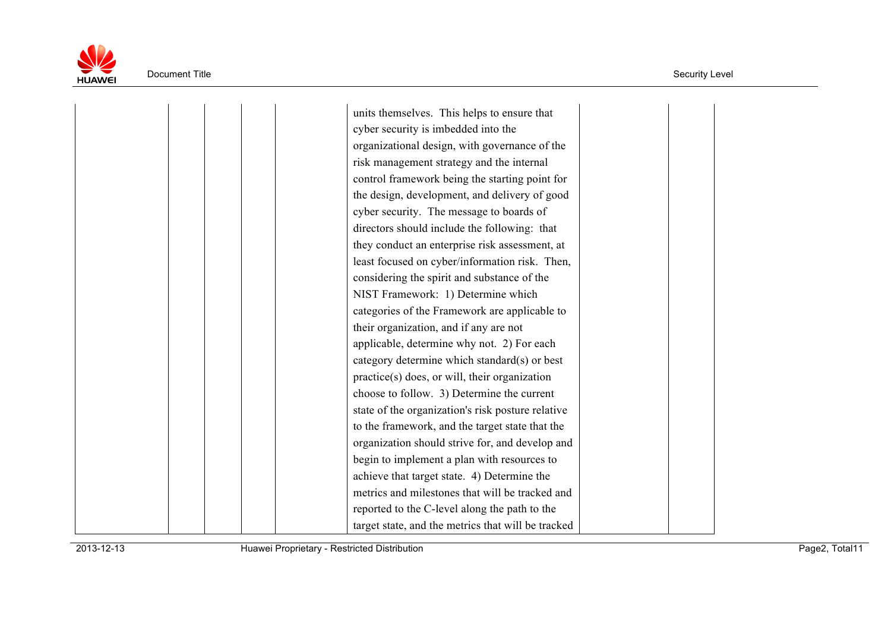

 cyber security is imbedded into the organizational design, with governance of the risk management strategy and the internal control framework being the starting point for cyber security. The message to boards of directors should include the following: that considering the spirit and substance of the NIST Framework: 1) Determine which categories of the Framework are applicable to applicable, determine why not. 2) For each category determine which standard(s) or best practice(s) does, or will, their organization choose to follow. 3) Determine the current state of the organization's risk posture relative organization should strive for, and develop and begin to implement a plan with resources to achieve that target state. 4) Determine the metrics and milestones that will be tracked and reported to the C-level along the path to the units themselves. This helps to ensure that the design, development, and delivery of good they conduct an enterprise risk assessment, at least focused on cyber/information risk. Then, their organization, and if any are not to the framework, and the target state that the target state, and the metrics that will be tracked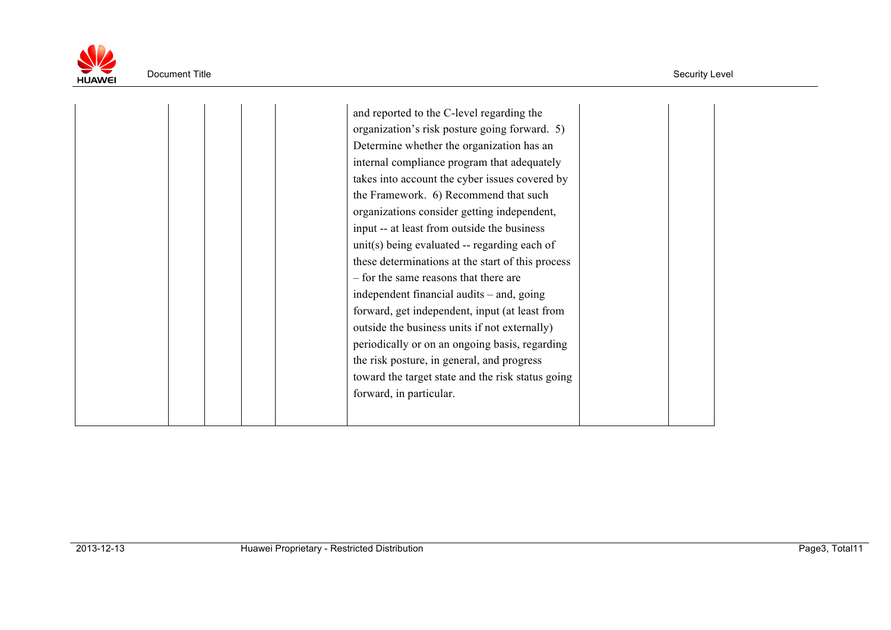

|  |  | and reported to the C-level regarding the         |  |
|--|--|---------------------------------------------------|--|
|  |  | organization's risk posture going forward. 5)     |  |
|  |  | Determine whether the organization has an         |  |
|  |  | internal compliance program that adequately       |  |
|  |  | takes into account the cyber issues covered by    |  |
|  |  | the Framework. 6) Recommend that such             |  |
|  |  | organizations consider getting independent,       |  |
|  |  | input -- at least from outside the business       |  |
|  |  | unit(s) being evaluated $-$ regarding each of     |  |
|  |  | these determinations at the start of this process |  |
|  |  | - for the same reasons that there are             |  |
|  |  |                                                   |  |
|  |  | independent financial audits – and, going         |  |
|  |  | forward, get independent, input (at least from    |  |
|  |  | outside the business units if not externally)     |  |
|  |  | periodically or on an ongoing basis, regarding    |  |
|  |  | the risk posture, in general, and progress        |  |
|  |  | toward the target state and the risk status going |  |
|  |  | forward, in particular.                           |  |
|  |  |                                                   |  |
|  |  |                                                   |  |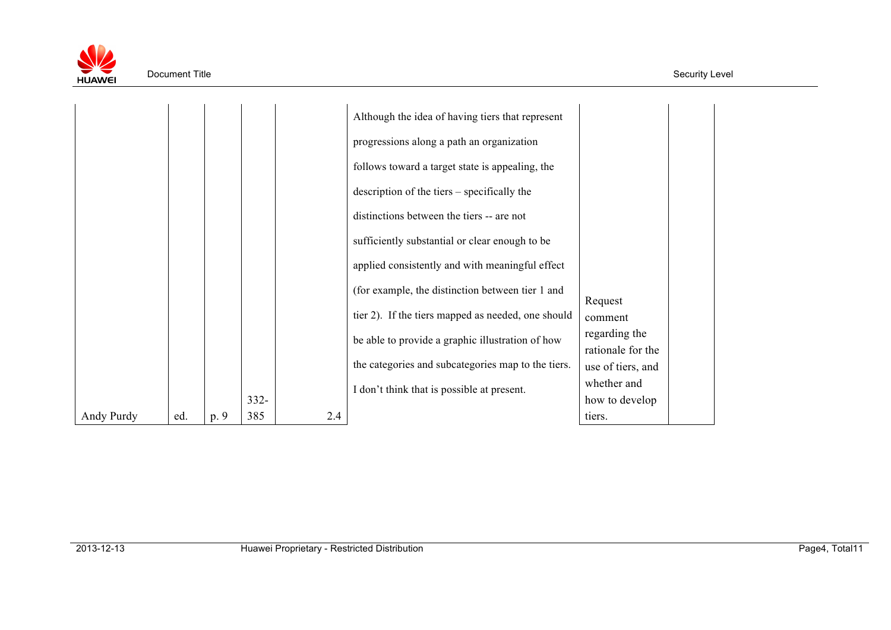

|            |     |      |         |     | Although the idea of having tiers that represent   |                                  |
|------------|-----|------|---------|-----|----------------------------------------------------|----------------------------------|
|            |     |      |         |     | progressions along a path an organization          |                                  |
|            |     |      |         |     | follows toward a target state is appealing, the    |                                  |
|            |     |      |         |     | description of the tiers – specifically the        |                                  |
|            |     |      |         |     | distinctions between the tiers -- are not          |                                  |
|            |     |      |         |     | sufficiently substantial or clear enough to be     |                                  |
|            |     |      |         |     | applied consistently and with meaningful effect    |                                  |
|            |     |      |         |     | (for example, the distinction between tier 1 and   |                                  |
|            |     |      |         |     | tier 2). If the tiers mapped as needed, one should | Request<br>comment               |
|            |     |      |         |     | be able to provide a graphic illustration of how   | regarding the                    |
|            |     |      |         |     | the categories and subcategories map to the tiers. | rationale for the                |
|            |     |      |         |     |                                                    | use of tiers, and<br>whether and |
|            |     |      | $332 -$ |     | I don't think that is possible at present.         | how to develop                   |
| Andy Purdy | ed. | p. 9 | 385     | 2.4 |                                                    | tiers.                           |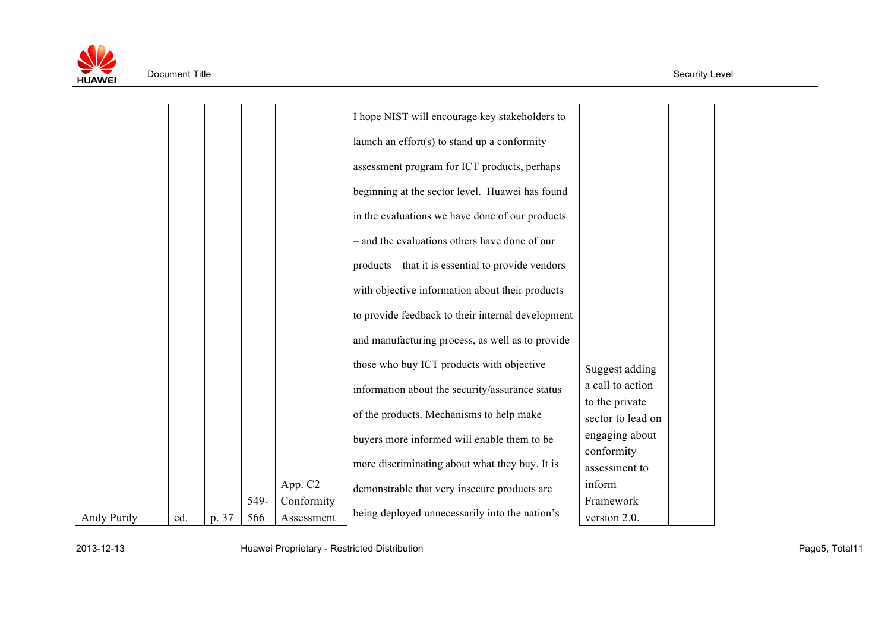

|            |     |       |      |            | I hope NIST will encourage key stakeholders to     |                                    |
|------------|-----|-------|------|------------|----------------------------------------------------|------------------------------------|
|            |     |       |      |            | launch an effort(s) to stand up a conformity       |                                    |
|            |     |       |      |            | assessment program for ICT products, perhaps       |                                    |
|            |     |       |      |            | beginning at the sector level. Huawei has found    |                                    |
|            |     |       |      |            | in the evaluations we have done of our products    |                                    |
|            |     |       |      |            | - and the evaluations others have done of our      |                                    |
|            |     |       |      |            | products – that it is essential to provide vendors |                                    |
|            |     |       |      |            | with objective information about their products    |                                    |
|            |     |       |      |            | to provide feedback to their internal development  |                                    |
|            |     |       |      |            | and manufacturing process, as well as to provide   |                                    |
|            |     |       |      |            | those who buy ICT products with objective          |                                    |
|            |     |       |      |            | information about the security/assurance status    | Suggest adding<br>a call to action |
|            |     |       |      |            |                                                    | to the private                     |
|            |     |       |      |            | of the products. Mechanisms to help make           | sector to lead on                  |
|            |     |       |      |            | buyers more informed will enable them to be        | engaging about<br>conformity       |
|            |     |       |      |            | more discriminating about what they buy. It is     | assessment to                      |
|            |     |       |      | App. C2    | demonstrable that very insecure products are       | inform                             |
|            |     |       | 549- | Conformity | being deployed unnecessarily into the nation's     | Framework                          |
| Andy Purdy | ed. | p. 37 | 566  | Assessment |                                                    | version 2.0.                       |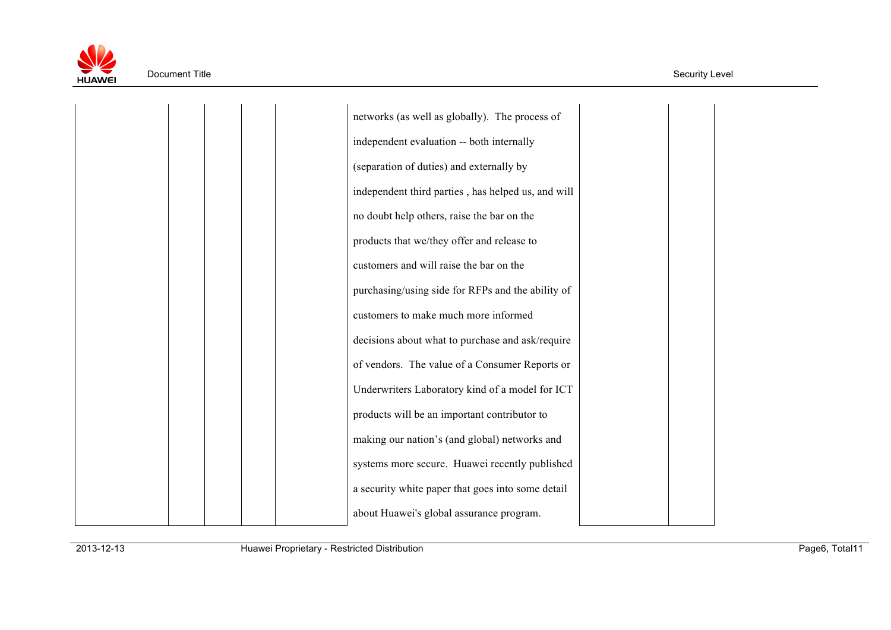

 networks (as well as globally). The process of (separation of duties) and externally by no doubt help others, raise the bar on the customers and will raise the bar on the purchasing/using side for RFPs and the ability of customers to make much more informed decisions about what to purchase and ask/require of vendors. The value of a Consumer Reports or Underwriters Laboratory kind of a model for ICT products will be an important contributor to making our nation's (and global) networks and systems more secure. Huawei recently published a security white paper that goes into some detail about Huawei's global assurance program. independent evaluation -- both internally independent third parties , has helped us, and will products that we/they offer and release to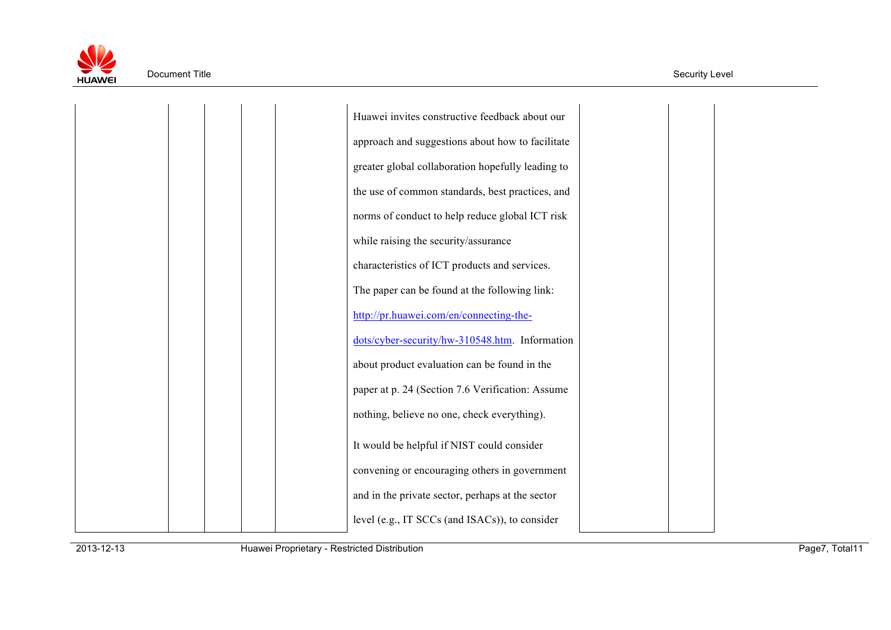

 Huawei invites constructive feedback about our approach and suggestions about how to facilitate greater global collaboration hopefully leading to norms of conduct to help reduce global ICT risk while raising the security/assurance characteristics of ICT products and services. The paper can be found at the following link: about product evaluation can be found in the paper at p. 24 (Section 7.6 Verification: Assume nothing, believe no one, check everything). It would be helpful if NIST could consider and in the private sector, perhaps at the sector the use of common standards, best practices, and http://pr.huawei.com/en/connecting-thedots/cyber-security/hw-310548.htm. Information convening or encouraging others in government level (e.g., IT SCCs (and ISACs)), to consider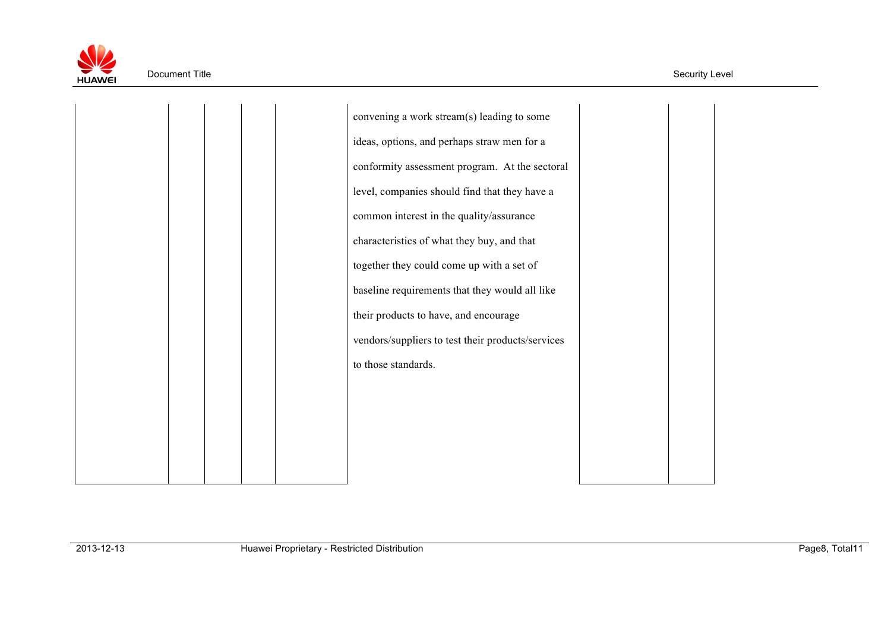

 convening a work stream(s) leading to some conformity assessment program. At the sectoral common interest in the quality/assurance characteristics of what they buy, and that baseline requirements that they would all like vendors/suppliers to test their products/services ideas, options, and perhaps straw men for a level, companies should find that they have a together they could come up with a set of their products to have, and encourage to those standards.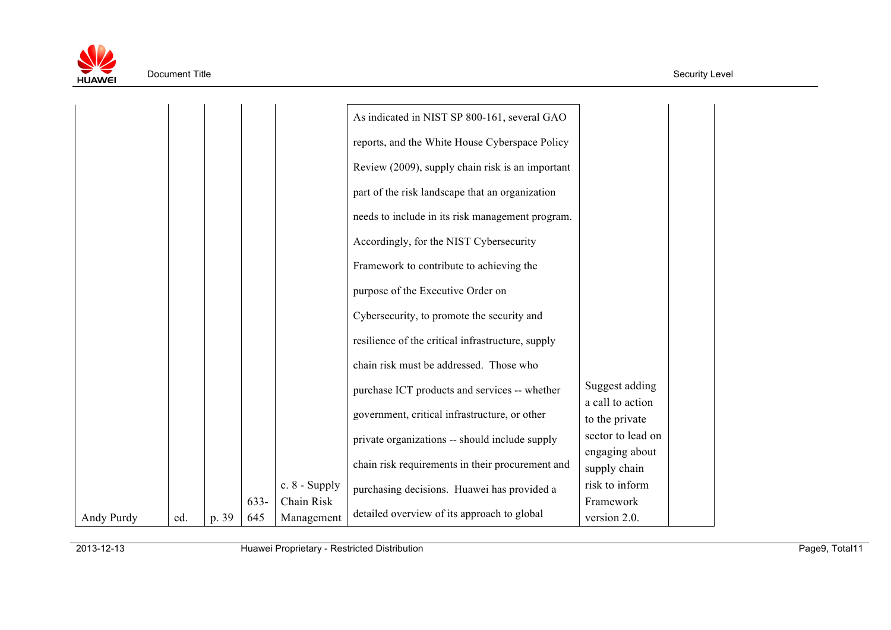

|            |     |       |         |                 | As indicated in NIST SP 800-161, several GAO      |                                    |
|------------|-----|-------|---------|-----------------|---------------------------------------------------|------------------------------------|
|            |     |       |         |                 | reports, and the White House Cyberspace Policy    |                                    |
|            |     |       |         |                 | Review (2009), supply chain risk is an important  |                                    |
|            |     |       |         |                 | part of the risk landscape that an organization   |                                    |
|            |     |       |         |                 | needs to include in its risk management program.  |                                    |
|            |     |       |         |                 | Accordingly, for the NIST Cybersecurity           |                                    |
|            |     |       |         |                 | Framework to contribute to achieving the          |                                    |
|            |     |       |         |                 | purpose of the Executive Order on                 |                                    |
|            |     |       |         |                 | Cybersecurity, to promote the security and        |                                    |
|            |     |       |         |                 | resilience of the critical infrastructure, supply |                                    |
|            |     |       |         |                 | chain risk must be addressed. Those who           |                                    |
|            |     |       |         |                 | purchase ICT products and services -- whether     | Suggest adding                     |
|            |     |       |         |                 | government, critical infrastructure, or other     | a call to action<br>to the private |
|            |     |       |         |                 | private organizations -- should include supply    | sector to lead on                  |
|            |     |       |         |                 | chain risk requirements in their procurement and  | engaging about<br>supply chain     |
|            |     |       |         | c. $8$ - Supply | purchasing decisions. Huawei has provided a       | risk to inform                     |
|            |     |       | $633 -$ | Chain Risk      | detailed overview of its approach to global       | Framework                          |
| Andy Purdy | ed. | p. 39 | 645     | Management      |                                                   | version 2.0.                       |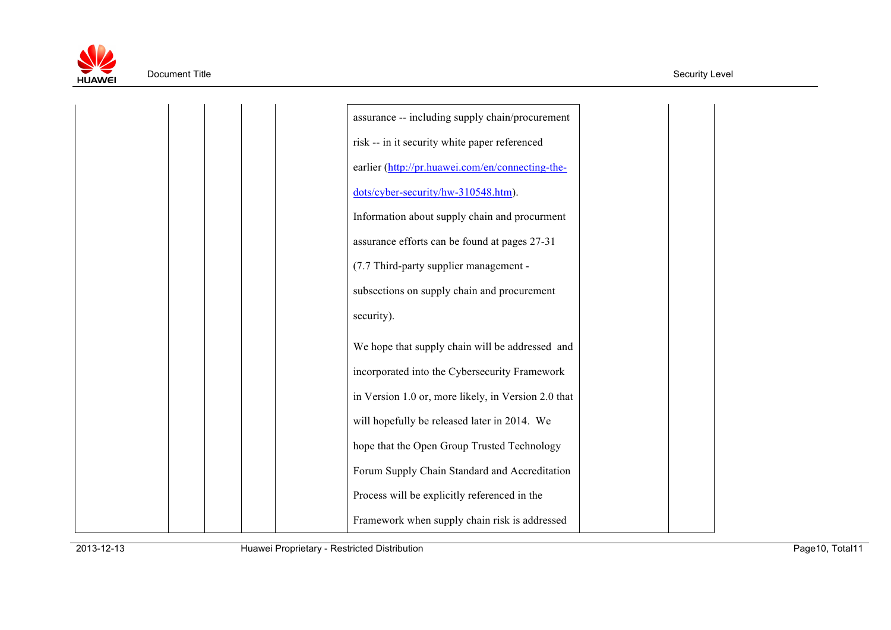

| assurance -- including supply chain/procurement     |
|-----------------------------------------------------|
| risk -- in it security white paper referenced       |
| earlier (http://pr.huawei.com/en/connecting-the-    |
| dots/cyber-security/hw-310548.htm).                 |
| Information about supply chain and procurment       |
| assurance efforts can be found at pages 27-31       |
| (7.7 Third-party supplier management -              |
| subsections on supply chain and procurement         |
| security).                                          |
| We hope that supply chain will be addressed and     |
| incorporated into the Cybersecurity Framework       |
| in Version 1.0 or, more likely, in Version 2.0 that |
| will hopefully be released later in 2014. We        |
| hope that the Open Group Trusted Technology         |
| Forum Supply Chain Standard and Accreditation       |
| Process will be explicitly referenced in the        |
| Framework when supply chain risk is addressed       |